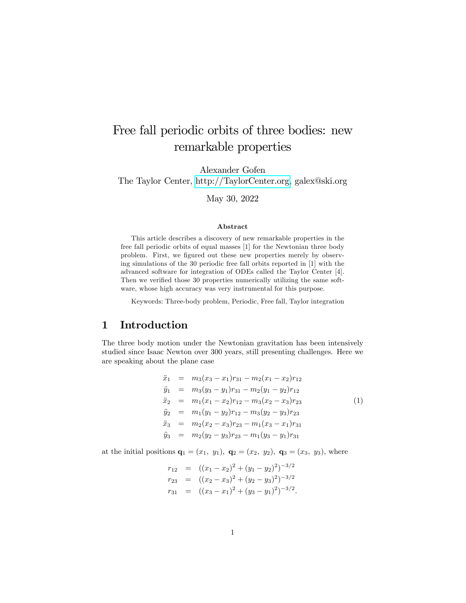# Free fall periodic orbits of three bodies: new remarkable properties

Alexander Gofen

The Taylor Center, [http://TaylorCenter.org,](http://TaylorCenter.org) galex@ski.org

May 30, 2022

#### Abstract

This article describes a discovery of new remarkable properties in the free fall periodic orbits of equal masses [1] for the Newtonian three body problem. First, we figured out these new properties merely by observing simulations of the 30 periodic free fall orbits reported in [1] with the advanced software for integration of ODEs called the Taylor Center [4]. Then we verified those 30 properties numerically utilizing the same software, whose high accuracy was very instrumental for this purpose.

Keywords: Three-body problem, Periodic, Free fall, Taylor integration

### 1 Introduction

The three body motion under the Newtonian gravitation has been intensively studied since Isaac Newton over 300 years, still presenting challenges. Here we are speaking about the plane case

<span id="page-0-0"></span>
$$
\ddot{x}_1 = m_3(x_3 - x_1)r_{31} - m_2(x_1 - x_2)r_{12}
$$
\n
$$
\ddot{y}_1 = m_3(y_3 - y_1)r_{31} - m_2(y_1 - y_2)r_{12}
$$
\n
$$
\ddot{x}_2 = m_1(x_1 - x_2)r_{12} - m_3(x_2 - x_3)r_{23}
$$
\n
$$
\ddot{y}_2 = m_1(y_1 - y_2)r_{12} - m_3(y_2 - y_3)r_{23}
$$
\n
$$
\ddot{x}_3 = m_2(x_2 - x_3)r_{23} - m_1(x_3 - x_1)r_{31}
$$
\n
$$
\ddot{y}_3 = m_2(y_2 - y_3)r_{23} - m_1(y_3 - y_1)r_{31}
$$
\n(1)

at the initial positions  $\mathbf{q}_1 = (x_1, y_1), \mathbf{q}_2 = (x_2, y_2), \mathbf{q}_3 = (x_3, y_3),$  where

$$
r_{12} = ((x_1 - x_2)^2 + (y_1 - y_2)^2)^{-3/2}
$$
  
\n
$$
r_{23} = ((x_2 - x_3)^2 + (y_2 - y_3)^2)^{-3/2}
$$
  
\n
$$
r_{31} = ((x_3 - x_1)^2 + (y_3 - y_1)^2)^{-3/2}.
$$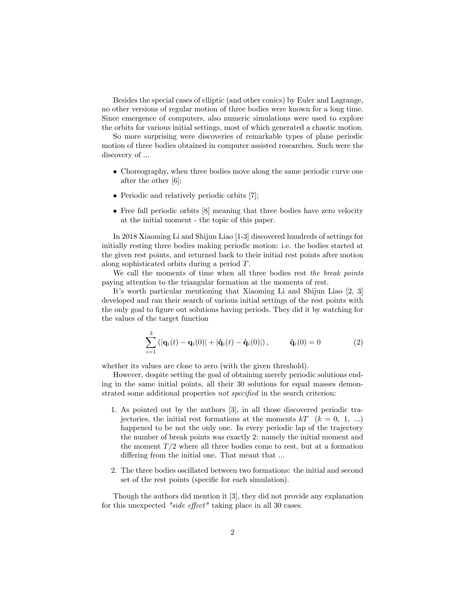Besides the special cases of elliptic (and other conics) by Euler and Lagrange, no other versions of regular motion of three bodies were known for a long time. Since emergence of computers, also numeric simulations were used to explore the orbits for various initial settings, most of which generated a chaotic motion.

So more surprising were discoveries of remarkable types of plane periodic motion of three bodies obtained in computer assisted researches. Such were the discovery of ...

- Choreography, when three bodies move along the same periodic curve one after the other [6];
- Periodic and relatively periodic orbits [7];
- Free fall periodic orbits [8] meaning that three bodies have zero velocity at the initial moment - the topic of this paper.

In 2018 Xiaoming Li and Shijun Liao [1-3] discovered hundreds of settings for initially resting three bodies making periodic motion: i.e. the bodies started at the given rest points, and returned back to their initial rest points after motion along sophisticated orbits during a period T.

We call the moments of time when all three bodies rest the break points paying attention to the triangular formation at the moments of rest.

It's worth particular mentioning that Xiaoming Li and Shijun Liao [2, 3] developed and ran their search of various initial settings of the rest points with the only goal to figure out solutions having periods. They did it by watching for the values of the target function

<span id="page-1-0"></span>
$$
\sum_{i=1}^{3} (|\mathbf{q}_i(t) - \mathbf{q}_i(0)| + |\dot{\mathbf{q}}_i(t) - \dot{\mathbf{q}}_i(0)|), \qquad \dot{\mathbf{q}}_i(0) = 0
$$
 (2)

whether its values are close to zero (with the given threshold).

However, despite setting the goal of obtaining merely periodic solutions ending in the same initial points, all their 30 solutions for equal masses demonstrated some additional properties not specified in the search criterion:

- 1. As pointed out by the authors [3], in all those discovered periodic trajectories, the initial rest formations at the moments  $kT$   $(k = 0, 1, ...)$ happened to be not the only one. In every periodic lap of the trajectory the number of break points was exactly 2: namely the initial moment and the moment  $T/2$  where all three bodies come to rest, but at a formation differing from the initial one. That meant that ...
- 2. The three bodies oscillated between two formations: the initial and second set of the rest points (specific for each simulation).

Though the authors did mention it [3], they did not provide any explanation for this unexpected "side effect" taking place in all 30 cases.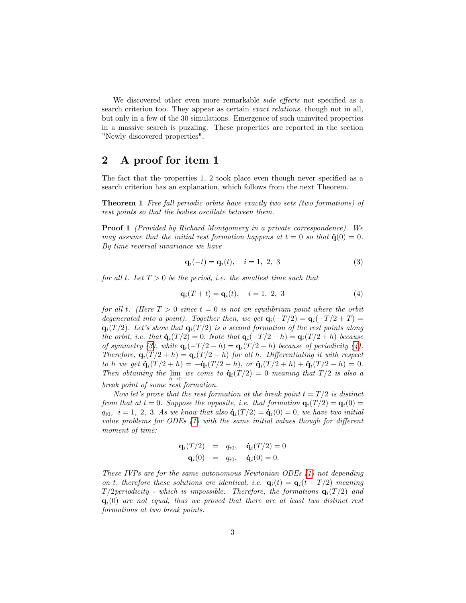We discovered other even more remarkable *side effects* not specified as a search criterion too. They appear as certain *exact relations*, though not in all, but only in a few of the 30 simulations. Emergence of such uninvited properties in a massive search is puzzling. These properties are reported in the section "Newly discovered properties".

## 2 A proof for item 1

The fact that the properties 1, 2 took place even though never specified as a search criterion has an explanation, which follows from the next Theorem.

Theorem 1 Free fall periodic orbits have exactly two sets (two formations) of rest points so that the bodies oscillate between them.

Proof 1 (Provided by Richard Montgomery in a private correspondence). We may assume that the initial rest formation happens at  $t = 0$  so that  $\dot{q}(0) = 0$ . By time reversal invariance we have

<span id="page-2-0"></span>
$$
\mathbf{q}_i(-t) = \mathbf{q}_i(t), \quad i = 1, 2, 3 \tag{3}
$$

for all t. Let  $T > 0$  be the period, i.e. the smallest time such that

<span id="page-2-1"></span>
$$
\mathbf{q}_i(T+t) = \mathbf{q}_i(t), \quad i = 1, 2, 3 \tag{4}
$$

for all t. (Here  $T > 0$  since  $t = 0$  is not an equilibrium point where the orbit degenerated into a point). Together then, we get  $\mathbf{q}_i(-T/2) = \mathbf{q}_i(-T/2 + T) =$  $\mathbf{q}_i(T/2)$ . Let's show that  $\mathbf{q}_i(T/2)$  is a second formation of the rest points along the orbit, i.e. that  $\dot{\mathbf{q}}_i(T/2) = 0$ . Note that  $\mathbf{q}_i(-T/2 - h) = \mathbf{q}_i(T/2 + h)$  because of symmetry [\(3\)](#page-2-0), while  $\mathbf{q}_i(-T/2 - h) = \mathbf{q}_i(T/2 - h)$  because of periodicity [\(4\)](#page-2-1). Therefore,  $\mathbf{q}_i(T/2 + h) = \mathbf{q}_i(T/2 - h)$  for all h. Differentiating it with respect to h we get  $\dot{\mathbf{q}}_i(T/2 + h) = -\dot{\mathbf{q}}_i(T/2 - h)$ , or  $\dot{\mathbf{q}}_i(T/2 + h) + \dot{\mathbf{q}}_i(T/2 - h) = 0$ . Then obtaining the lim  $\lim_{h\to 0}$  we come to  $\dot{\mathbf{q}}_i(T/2) = 0$  meaning that  $T/2$  is also a break point of some rest formation.

Now let's prove that the rest formation at the break point  $t = T/2$  is distinct from that at  $t = 0$ . Suppose the opposite, i.e. that formation  $\mathbf{q}_i(T/2) = \mathbf{q}_i(0) =$  $q_{i0}$ ,  $i = 1, 2, 3$ . As we know that also  $\dot{\mathbf{q}}_i(T/2) = \dot{\mathbf{q}}_i(0) = 0$ , we have two initial value problems for ODEs  $(1)$  with the same initial values though for different moment of time:

$$
\mathbf{q}_i(T/2) = q_{i0}, \quad \dot{\mathbf{q}}_i(T/2) = 0
$$
  

$$
\mathbf{q}_i(0) = q_{i0}, \quad \dot{\mathbf{q}}_i(0) = 0.
$$

These IVPs are for the same autonomous Newtonian ODEs [\(1\)](#page-0-0) not depending on t, therefore these solutions are identical, i.e.  $\mathbf{q}_i(t) = \mathbf{q}_i(t + T/2)$  meaning  $T/2$ periodicity - which is impossible. Therefore, the formations  $q_i(T/2)$  and  $\mathbf{q}_i(0)$  are not equal, thus we proved that there are at least two distinct rest formations at two break points.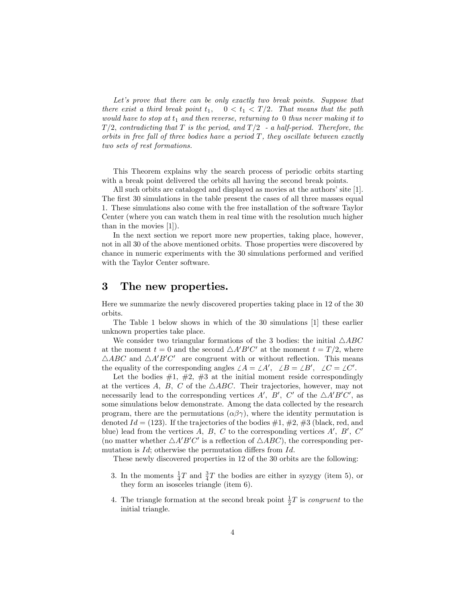Let's prove that there can be only exactly two break points. Suppose that there exist a third break point  $t_1$ ,  $0 < t_1 < T/2$ . That means that the path would have to stop at  $t_1$  and then reverse, returning to 0 thus never making it to  $T/2$ , contradicting that T is the period, and  $T/2$  - a half-period. Therefore, the orbits in free fall of three bodies have a period  $T$ , they oscillate between exactly two sets of rest formations.

This Theorem explains why the search process of periodic orbits starting with a break point delivered the orbits all having the second break points.

All such orbits are cataloged and displayed as movies at the authors' site [1]. The first 30 simulations in the table present the cases of all three masses equal 1. These simulations also come with the free installation of the software Taylor Center (where you can watch them in real time with the resolution much higher than in the movies [1]).

In the next section we report more new properties, taking place, however, not in all 30 of the above mentioned orbits. Those properties were discovered by chance in numeric experiments with the 30 simulations performed and verified with the Taylor Center software.

### 3 The new properties.

Here we summarize the newly discovered properties taking place in 12 of the 30 orbits.

The Table 1 below shows in which of the 30 simulations [1] these earlier unknown properties take place.

We consider two triangular formations of the 3 bodies: the initial  $\triangle ABC$ at the moment  $t = 0$  and the second  $\triangle A'B'C'$  at the moment  $t = T/2$ , where  $\triangle ABC$  and  $\triangle A'B'C'$  are congruent with or without reflection. This means the equality of the corresponding angles  $\angle A = \angle A'$ ,  $\angle B = \angle B'$ ,  $\angle C = \angle C'$ .

Let the bodies  $#1, #2, #3$  at the initial moment reside correspondingly at the vertices A, B, C of the  $\triangle ABC$ . Their trajectories, however, may not necessarily lead to the corresponding vertices  $A', B', C'$  of the  $\triangle A'B'C'$ , as some simulations below demonstrate. Among the data collected by the research program, there are the permutations  $(\alpha\beta\gamma)$ , where the identity permutation is denoted  $Id = (123)$ . If the trajectories of the bodies  $\#1, \#2, \#3$  (black, red, and blue) lead from the vertices  $A, B, C$  to the corresponding vertices  $A', B', C'$ (no matter whether  $\triangle A'B'C'$  is a reflection of  $\triangle ABC$ ), the corresponding permutation is  $Id$ ; otherwise the permutation differs from  $Id$ .

These newly discovered properties in 12 of the 30 orbits are the following:

- 3. In the moments  $\frac{1}{4}T$  and  $\frac{3}{4}T$  the bodies are either in syzygy (item 5), or they form an isosceles triangle (item 6).
- 4. The triangle formation at the second break point  $\frac{1}{2}T$  is *congruent* to the initial triangle.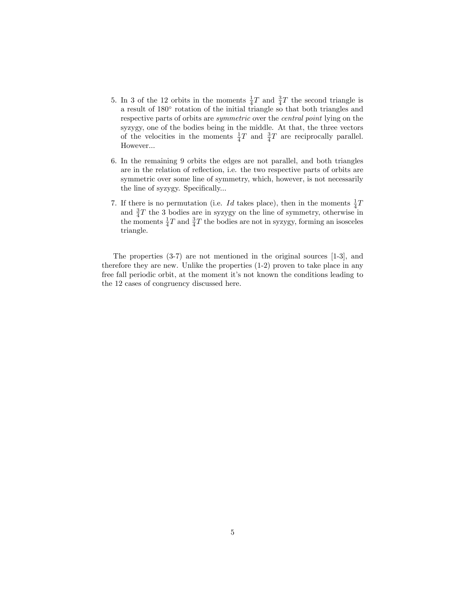- 5. In 3 of the 12 orbits in the moments  $\frac{1}{4}T$  and  $\frac{3}{4}T$  the second triangle is a result of 180<sup>°</sup> rotation of the initial triangle so that both triangles and respective parts of orbits are *symmetric* over the *central point* lying on the syzygy, one of the bodies being in the middle. At that, the three vectors of the velocities in the moments  $\frac{1}{4}T$  and  $\frac{3}{4}T$  are reciprocally parallel. However...
- 6. In the remaining 9 orbits the edges are not parallel, and both triangles are in the relation of reflection, i.e. the two respective parts of orbits are symmetric over some line of symmetry, which, however, is not necessarily the line of syzygy. Specifically...
- 7. If there is no permutation (i.e. *Id* takes place), then in the moments  $\frac{1}{4}T$ and  $\frac{3}{4}T$  the 3 bodies are in syzygy on the line of symmetry, otherwise in the moments  $\frac{1}{4}T$  and  $\frac{3}{4}T$  the bodies are not in syzygy, forming an isosceles triangle.

The properties (3-7) are not mentioned in the original sources [1-3], and therefore they are new. Unlike the properties (1-2) proven to take place in any free fall periodic orbit, at the moment it's not known the conditions leading to the 12 cases of congruency discussed here.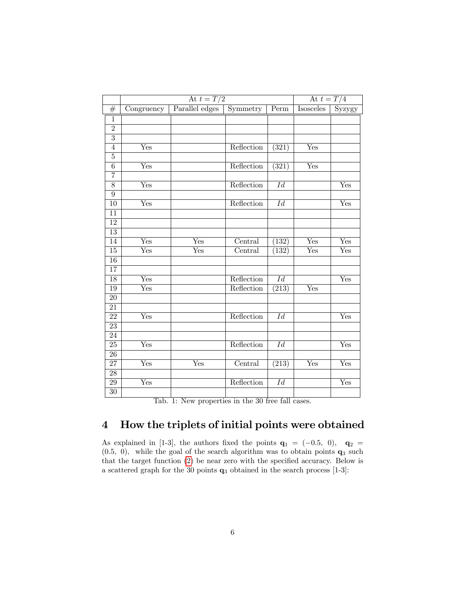| Parallel edges<br><b>Isosceles</b><br>$\overline{\text{Perm}}$<br>#<br>Congruency<br>$\overline{1}$<br>$\overline{2}$<br>$\overline{3}$<br>$\overline{(321)}$<br>$\overline{\mathrm{Yes}}$<br>Yes<br>Reflection<br>$\overline{4}$<br>$\overline{5}$<br>Reflection<br>$\overline{6}$<br>Yes<br>$\overline{(321)}$<br>Yes<br>$\overline{7}$<br>Reflection<br>$\overline{8}$<br>Yes<br>$\overline{Id}$<br>Yes<br>$\overline{9}$<br>Reflection<br>$\overline{\mathrm{Yes}}$<br>$\overline{Id}$<br>10<br>Yes<br>$\overline{11}$<br>$\overline{12}$<br>$\overline{13}$<br>$\overline{14}$<br>Yes<br>Yes<br>Central<br>Yes<br>(132)<br>Yes<br>$\overline{15}$<br>$\overline{\mathrm{Yes}}$<br>$\overline{\mathrm{Yes}}$<br>Yes<br>Central<br>(132)<br>Yes<br>$\overline{16}$<br>$\overline{17}$<br>Reflection<br>$\overline{18}$<br>$\overline{\mathrm{Yes}}$<br>$\overline{Id}$<br>Yes<br>19<br>$\overline{\mathrm{Yes}}$<br>Reflection<br>$\overline{(213)}$<br>Yes<br>$\overline{20}$<br>$\overline{21}$<br>$\overline{22}$<br>Reflection<br>$\overline{Id}$<br>Yes<br>Yes<br>$\overline{23}$<br>$\overline{24}$<br>Reflection<br>25<br>Yes<br>$\overline{Id}$<br>Yes<br>$\overline{26}$<br>Central<br>Yes<br>$\overline{27}$<br>$\overline{\mathrm{Yes}}$<br>Yes<br>$\overline{(213)}$<br>Yes<br>$\overline{28}$<br>29<br>Reflection<br>$\overline{\mathrm{Yes}}$<br>$\overline{Id}$<br>Yes<br>$\overline{30}$ | At $t = T/2$ |  |          | At $t = T/4$ |  |               |  |
|-------------------------------------------------------------------------------------------------------------------------------------------------------------------------------------------------------------------------------------------------------------------------------------------------------------------------------------------------------------------------------------------------------------------------------------------------------------------------------------------------------------------------------------------------------------------------------------------------------------------------------------------------------------------------------------------------------------------------------------------------------------------------------------------------------------------------------------------------------------------------------------------------------------------------------------------------------------------------------------------------------------------------------------------------------------------------------------------------------------------------------------------------------------------------------------------------------------------------------------------------------------------------------------------------------------------------------------------------------------------------------------------------------------|--------------|--|----------|--------------|--|---------------|--|
|                                                                                                                                                                                                                                                                                                                                                                                                                                                                                                                                                                                                                                                                                                                                                                                                                                                                                                                                                                                                                                                                                                                                                                                                                                                                                                                                                                                                             |              |  | Symmetry |              |  | <b>Syzygy</b> |  |
|                                                                                                                                                                                                                                                                                                                                                                                                                                                                                                                                                                                                                                                                                                                                                                                                                                                                                                                                                                                                                                                                                                                                                                                                                                                                                                                                                                                                             |              |  |          |              |  |               |  |
|                                                                                                                                                                                                                                                                                                                                                                                                                                                                                                                                                                                                                                                                                                                                                                                                                                                                                                                                                                                                                                                                                                                                                                                                                                                                                                                                                                                                             |              |  |          |              |  |               |  |
|                                                                                                                                                                                                                                                                                                                                                                                                                                                                                                                                                                                                                                                                                                                                                                                                                                                                                                                                                                                                                                                                                                                                                                                                                                                                                                                                                                                                             |              |  |          |              |  |               |  |
|                                                                                                                                                                                                                                                                                                                                                                                                                                                                                                                                                                                                                                                                                                                                                                                                                                                                                                                                                                                                                                                                                                                                                                                                                                                                                                                                                                                                             |              |  |          |              |  |               |  |
|                                                                                                                                                                                                                                                                                                                                                                                                                                                                                                                                                                                                                                                                                                                                                                                                                                                                                                                                                                                                                                                                                                                                                                                                                                                                                                                                                                                                             |              |  |          |              |  |               |  |
|                                                                                                                                                                                                                                                                                                                                                                                                                                                                                                                                                                                                                                                                                                                                                                                                                                                                                                                                                                                                                                                                                                                                                                                                                                                                                                                                                                                                             |              |  |          |              |  |               |  |
|                                                                                                                                                                                                                                                                                                                                                                                                                                                                                                                                                                                                                                                                                                                                                                                                                                                                                                                                                                                                                                                                                                                                                                                                                                                                                                                                                                                                             |              |  |          |              |  |               |  |
|                                                                                                                                                                                                                                                                                                                                                                                                                                                                                                                                                                                                                                                                                                                                                                                                                                                                                                                                                                                                                                                                                                                                                                                                                                                                                                                                                                                                             |              |  |          |              |  |               |  |
|                                                                                                                                                                                                                                                                                                                                                                                                                                                                                                                                                                                                                                                                                                                                                                                                                                                                                                                                                                                                                                                                                                                                                                                                                                                                                                                                                                                                             |              |  |          |              |  |               |  |
|                                                                                                                                                                                                                                                                                                                                                                                                                                                                                                                                                                                                                                                                                                                                                                                                                                                                                                                                                                                                                                                                                                                                                                                                                                                                                                                                                                                                             |              |  |          |              |  |               |  |
|                                                                                                                                                                                                                                                                                                                                                                                                                                                                                                                                                                                                                                                                                                                                                                                                                                                                                                                                                                                                                                                                                                                                                                                                                                                                                                                                                                                                             |              |  |          |              |  |               |  |
|                                                                                                                                                                                                                                                                                                                                                                                                                                                                                                                                                                                                                                                                                                                                                                                                                                                                                                                                                                                                                                                                                                                                                                                                                                                                                                                                                                                                             |              |  |          |              |  |               |  |
|                                                                                                                                                                                                                                                                                                                                                                                                                                                                                                                                                                                                                                                                                                                                                                                                                                                                                                                                                                                                                                                                                                                                                                                                                                                                                                                                                                                                             |              |  |          |              |  |               |  |
|                                                                                                                                                                                                                                                                                                                                                                                                                                                                                                                                                                                                                                                                                                                                                                                                                                                                                                                                                                                                                                                                                                                                                                                                                                                                                                                                                                                                             |              |  |          |              |  |               |  |
|                                                                                                                                                                                                                                                                                                                                                                                                                                                                                                                                                                                                                                                                                                                                                                                                                                                                                                                                                                                                                                                                                                                                                                                                                                                                                                                                                                                                             |              |  |          |              |  |               |  |
|                                                                                                                                                                                                                                                                                                                                                                                                                                                                                                                                                                                                                                                                                                                                                                                                                                                                                                                                                                                                                                                                                                                                                                                                                                                                                                                                                                                                             |              |  |          |              |  |               |  |
|                                                                                                                                                                                                                                                                                                                                                                                                                                                                                                                                                                                                                                                                                                                                                                                                                                                                                                                                                                                                                                                                                                                                                                                                                                                                                                                                                                                                             |              |  |          |              |  |               |  |
|                                                                                                                                                                                                                                                                                                                                                                                                                                                                                                                                                                                                                                                                                                                                                                                                                                                                                                                                                                                                                                                                                                                                                                                                                                                                                                                                                                                                             |              |  |          |              |  |               |  |
|                                                                                                                                                                                                                                                                                                                                                                                                                                                                                                                                                                                                                                                                                                                                                                                                                                                                                                                                                                                                                                                                                                                                                                                                                                                                                                                                                                                                             |              |  |          |              |  |               |  |
|                                                                                                                                                                                                                                                                                                                                                                                                                                                                                                                                                                                                                                                                                                                                                                                                                                                                                                                                                                                                                                                                                                                                                                                                                                                                                                                                                                                                             |              |  |          |              |  |               |  |
|                                                                                                                                                                                                                                                                                                                                                                                                                                                                                                                                                                                                                                                                                                                                                                                                                                                                                                                                                                                                                                                                                                                                                                                                                                                                                                                                                                                                             |              |  |          |              |  |               |  |
|                                                                                                                                                                                                                                                                                                                                                                                                                                                                                                                                                                                                                                                                                                                                                                                                                                                                                                                                                                                                                                                                                                                                                                                                                                                                                                                                                                                                             |              |  |          |              |  |               |  |
|                                                                                                                                                                                                                                                                                                                                                                                                                                                                                                                                                                                                                                                                                                                                                                                                                                                                                                                                                                                                                                                                                                                                                                                                                                                                                                                                                                                                             |              |  |          |              |  |               |  |
|                                                                                                                                                                                                                                                                                                                                                                                                                                                                                                                                                                                                                                                                                                                                                                                                                                                                                                                                                                                                                                                                                                                                                                                                                                                                                                                                                                                                             |              |  |          |              |  |               |  |
|                                                                                                                                                                                                                                                                                                                                                                                                                                                                                                                                                                                                                                                                                                                                                                                                                                                                                                                                                                                                                                                                                                                                                                                                                                                                                                                                                                                                             |              |  |          |              |  |               |  |
|                                                                                                                                                                                                                                                                                                                                                                                                                                                                                                                                                                                                                                                                                                                                                                                                                                                                                                                                                                                                                                                                                                                                                                                                                                                                                                                                                                                                             |              |  |          |              |  |               |  |
|                                                                                                                                                                                                                                                                                                                                                                                                                                                                                                                                                                                                                                                                                                                                                                                                                                                                                                                                                                                                                                                                                                                                                                                                                                                                                                                                                                                                             |              |  |          |              |  |               |  |
|                                                                                                                                                                                                                                                                                                                                                                                                                                                                                                                                                                                                                                                                                                                                                                                                                                                                                                                                                                                                                                                                                                                                                                                                                                                                                                                                                                                                             |              |  |          |              |  |               |  |
|                                                                                                                                                                                                                                                                                                                                                                                                                                                                                                                                                                                                                                                                                                                                                                                                                                                                                                                                                                                                                                                                                                                                                                                                                                                                                                                                                                                                             |              |  |          |              |  |               |  |
|                                                                                                                                                                                                                                                                                                                                                                                                                                                                                                                                                                                                                                                                                                                                                                                                                                                                                                                                                                                                                                                                                                                                                                                                                                                                                                                                                                                                             |              |  |          |              |  |               |  |

|  |  |  | Tab. 1: New properties in the 30 free fall cases. |  |  |  |  |  |  |
|--|--|--|---------------------------------------------------|--|--|--|--|--|--|
|--|--|--|---------------------------------------------------|--|--|--|--|--|--|

## 4 How the triplets of initial points were obtained

As explained in [1-3], the authors fixed the points  $q_1 = (-0.5, 0), q_2 =$  $(0.5, 0)$ , while the goal of the search algorithm was to obtain points  $q_3$  such that the target function  $(2)$  be near zero with the specified accuracy. Below is a scattered graph for the 30 points q<sup>3</sup> obtained in the search process [1-3]: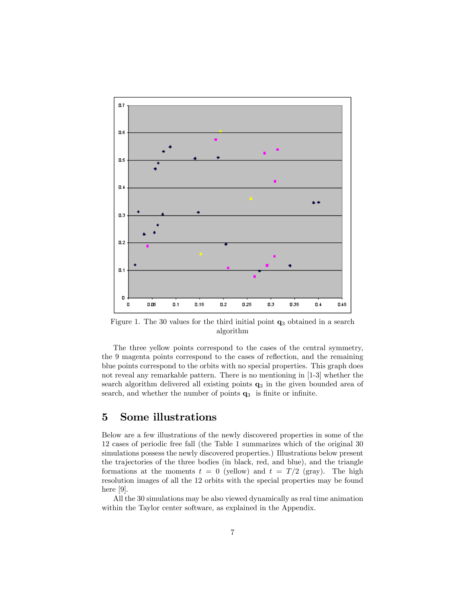

Figure 1. The 30 values for the third initial point  $q_3$  obtained in a search algorithm

The three yellow points correspond to the cases of the central symmetry, the 9 magenta points correspond to the cases of reflection, and the remaining blue points correspond to the orbits with no special properties. This graph does not reveal any remarkable pattern. There is no mentioning in [1-3] whether the search algorithm delivered all existing points  $q_3$  in the given bounded area of search, and whether the number of points  $q_3$  is finite or infinite.

#### 5 Some illustrations

Below are a few illustrations of the newly discovered properties in some of the 12 cases of periodic free fall (the Table 1 summarizes which of the original 30 simulations possess the newly discovered properties.) Illustrations below present the trajectories of the three bodies (in black, red, and blue), and the triangle formations at the moments  $t = 0$  (yellow) and  $t = T/2$  (gray). The high resolution images of all the 12 orbits with the special properties may be found here [9].

All the 30 simulations may be also viewed dynamically as real time animation within the Taylor center software, as explained in the Appendix.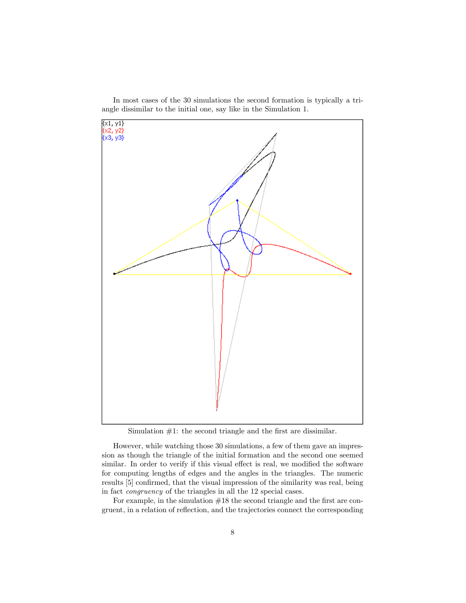

In most cases of the 30 simulations the second formation is typically a triangle dissimilar to the initial one, say like in the Simulation 1.

Simulation  $#1$ : the second triangle and the first are dissimilar.

However, while watching those 30 simulations, a few of them gave an impression as though the triangle of the initial formation and the second one seemed similar. In order to verify if this visual effect is real, we modified the software for computing lengths of edges and the angles in the triangles. The numeric results [5] confirmed, that the visual impression of the similarity was real, being in fact congruency of the triangles in all the 12 special cases.

For example, in the simulation  $#18$  the second triangle and the first are congruent, in a relation of reflection, and the trajectories connect the corresponding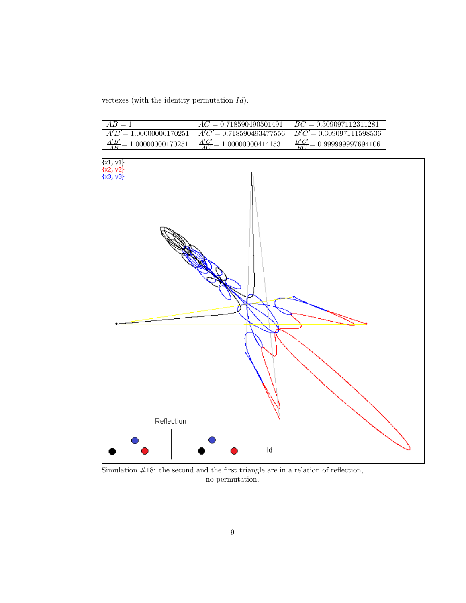vertexes (with the identity permutation Id).

| $AB=1$                               | $AC = 0.718590490501491$             | $BC = 0.309097112311281$              |
|--------------------------------------|--------------------------------------|---------------------------------------|
| $A'B' = 1.00000000170251$            | $A'C' = 0.718590493477556$           | $B'C' = 0.309097111598536$            |
| $\frac{A'B'}{AB}$ = 1.00000000170251 | $\frac{A'C'}{AC} = 1.00000000414153$ | $\frac{B'C'}{BC}$ = 0.999999997694106 |



Simulation  $#18$ : the second and the first triangle are in a relation of reflection, no permutation.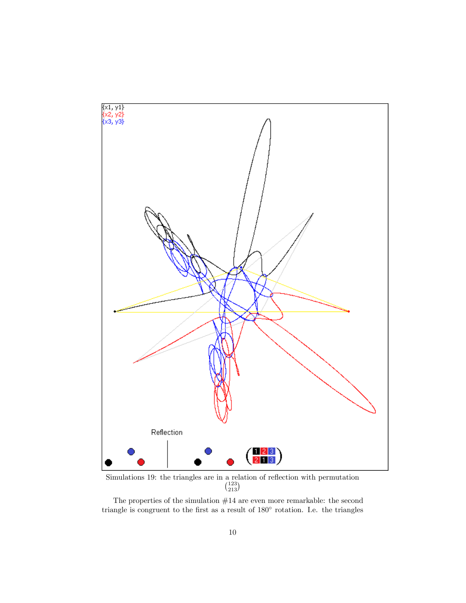

 $\binom{123}{213}$ 

The properties of the simulation  $#14$  are even more remarkable: the second triangle is congruent to the first as a result of  $180^{\circ}$  rotation. I.e. the triangles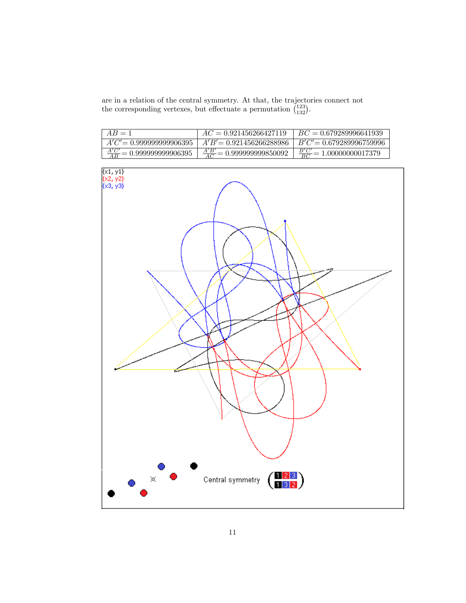are in a relation of the central symmetry. At that, the trajectories connect not the corresponding vertexes, but effectuate a permutation  $\binom{123}{132}$ .

| $AB=1$                               | $AC = 0.921456266427119$              | $BC = 0.679289996641939$             |
|--------------------------------------|---------------------------------------|--------------------------------------|
| $A'C'=0.99999999906395$              | $A'B' = 0.921456266288986$            | $B'C'=0.679289996759996$             |
| $\frac{A'C'}{AB}$ = 0.99999999906395 | $\frac{A'B'}{AC} = 0.999999999850092$ | $\frac{B'C'}{BC}$ = 1.00000000017379 |

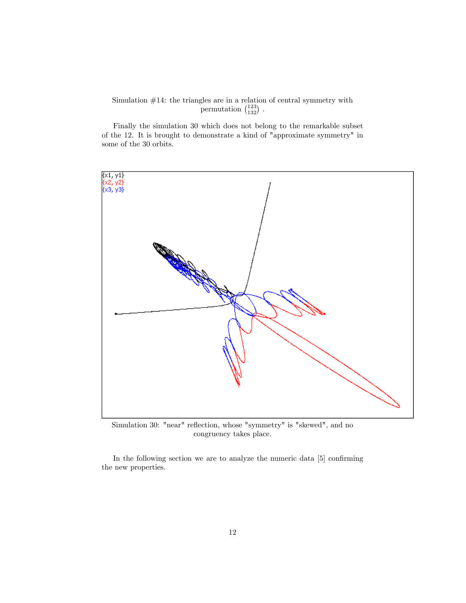#### Simulation #14: the triangles are in a relation of central symmetry with permutation  $\binom{123}{132}$ .

Finally the simulation 30 which does not belong to the remarkable subset of the 12. It is brought to demonstrate a kind of "approximate symmetry" in some of the 30 orbits.



Simulation 30: "near" reflection, whose "symmetry" is "skewed", and no congruency takes place.

In the following section we are to analyze the numeric data [5] confirming the new properties.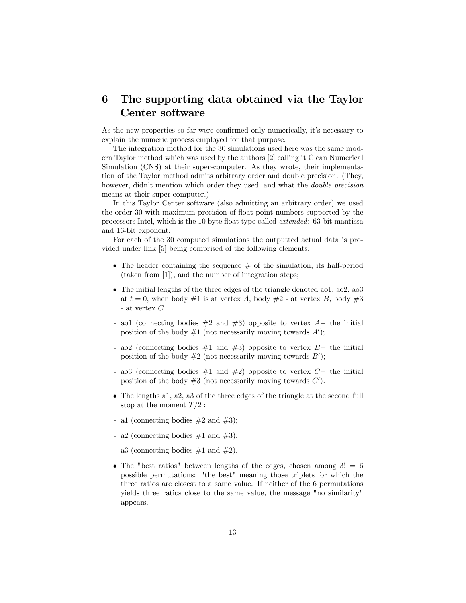## 6 The supporting data obtained via the Taylor Center software

As the new properties so far were confirmed only numerically, it's necessary to explain the numeric process employed for that purpose.

The integration method for the 30 simulations used here was the same modern Taylor method which was used by the authors [2] calling it Clean Numerical Simulation (CNS) at their super-computer. As they wrote, their implementation of the Taylor method admits arbitrary order and double precision. (They, however, didn't mention which order they used, and what the *double precision* means at their super computer.)

In this Taylor Center software (also admitting an arbitrary order) we used the order 30 with maximum precision of float point numbers supported by the processors Intel, which is the 10 byte float type called *extended*: 63-bit mantissa and 16-bit exponent.

For each of the 30 computed simulations the outputted actual data is provided under link [5] being comprised of the following elements:

- $\bullet$  The header containing the sequence  $\#$  of the simulation, its half-period (taken from [1]), and the number of integration steps;
- The initial lengths of the three edges of the triangle denoted ao1, ao2, ao3 at  $t = 0$ , when body  $\#1$  is at vertex A, body  $\#2$  - at vertex B, body  $\#3$ - at vertex C.
- ao1 (connecting bodies  $#2$  and  $#3$ ) opposite to vertex  $A-$  the initial position of the body  $#1$  (not necessarily moving towards  $A'$ );
- ao2 (connecting bodies  $\#1$  and  $\#3$ ) opposite to vertex  $B$  the initial position of the body  $#2$  (not necessarily moving towards  $B'$ );
- ao3 (connecting bodies  $\#1$  and  $\#2$ ) opposite to vertex  $C-$  the initial position of the body  $#3$  (not necessarily moving towards  $C'$ ).
- The lengths a1, a2, a3 of the three edges of the triangle at the second full stop at the moment  $T/2$ :
- a1 (connecting bodies  $\#2$  and  $\#3$ );
- a2 (connecting bodies  $\#1$  and  $\#3$ );
- a3 (connecting bodies  $\#1$  and  $\#2$ ).
- The "best ratios" between lengths of the edges, chosen among  $3! = 6$ possible permutations: "the best" meaning those triplets for which the three ratios are closest to a same value. If neither of the 6 permutations yields three ratios close to the same value, the message "no similarity" appears.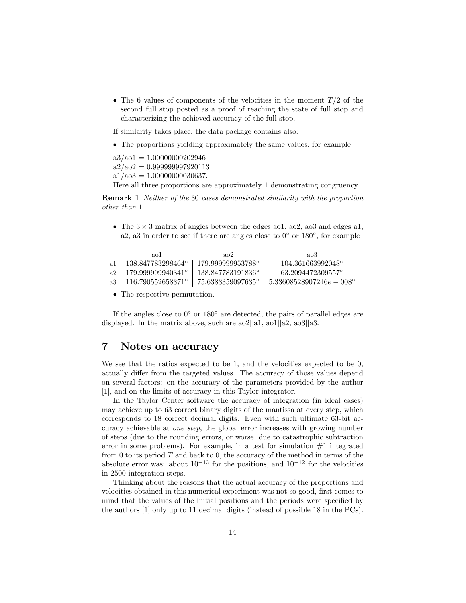• The 6 values of components of the velocities in the moment  $T/2$  of the second full stop posted as a proof of reaching the state of full stop and characterizing the achieved accuracy of the full stop.

If similarity takes place, the data package contains also:

The proportions yielding approximately the same values, for example

 $a3/ao1 = 1.00000000202946$  $a2/ao2 = 0.999999997920113$  $a1/ao3 = 1.00000000030637.$ Here all three proportions are approximately 1 demonstrating congruency.

Remark 1 Neither of the 30 cases demonstrated similarity with the proportion other than 1.

• The  $3 \times 3$  matrix of angles between the edges ao1, ao2, ao3 and edges a1, a2, a3 in order to see if there are angles close to  $0^{\circ}$  or  $180^{\circ}$ , for example

|     | aol               | a <sub>0</sub>    | ao3                               |
|-----|-------------------|-------------------|-----------------------------------|
| -a1 | 138.847783298464° | 179.999999953788° | 104.361663992048°                 |
| a2  | 179.999999940341° | 138.847783191836° | 63.2094472309557°                 |
| a3  | 116.790552658371° | 75.6383359097635° | $5.33608528907246e - 008^{\circ}$ |

• The respective permutation.

If the angles close to  $0^{\circ}$  or  $180^{\circ}$  are detected, the pairs of parallel edges are displayed. In the matrix above, such are ao2||a1, ao1||a2, ao3||a3.

## 7 Notes on accuracy

We see that the ratios expected to be 1, and the velocities expected to be 0, actually differ from the targeted values. The accuracy of those values depend on several factors: on the accuracy of the parameters provided by the author [1], and on the limits of accuracy in this Taylor integrator.

In the Taylor Center software the accuracy of integration (in ideal cases) may achieve up to 63 correct binary digits of the mantissa at every step, which corresponds to 18 correct decimal digits. Even with such ultimate 63-bit accuracy achievable at one step, the global error increases with growing number of steps (due to the rounding errors, or worse, due to catastrophic subtraction error in some problems). For example, in a test for simulation  $#1$  integrated from 0 to its period  $T$  and back to 0, the accuracy of the method in terms of the absolute error was: about  $10^{-13}$  for the positions, and  $10^{-12}$  for the velocities in 2500 integration steps.

Thinking about the reasons that the actual accuracy of the proportions and velocities obtained in this numerical experiment was not so good, first comes to mind that the values of the initial positions and the periods were specified by the authors [1] only up to 11 decimal digits (instead of possible 18 in the PCs).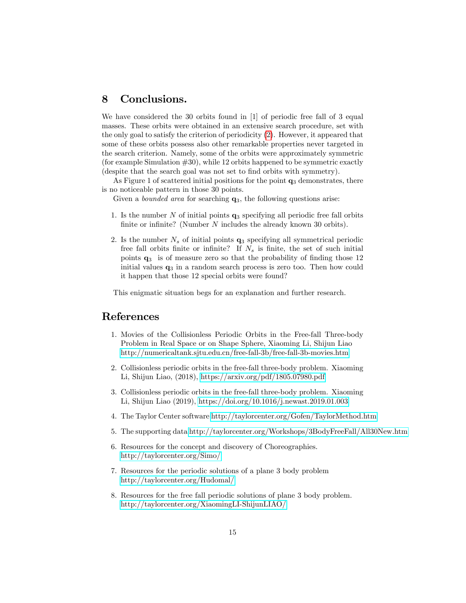## 8 Conclusions.

We have considered the 30 orbits found in [1] of periodic free fall of 3 equal masses. These orbits were obtained in an extensive search procedure, set with the only goal to satisfy the criterion of periodicity [\(2\)](#page-1-0). However, it appeared that some of these orbits possess also other remarkable properties never targeted in the search criterion. Namely, some of the orbits were approximately symmetric (for example Simulation  $#30$ ), while 12 orbits happened to be symmetric exactly (despite that the search goal was not set to find orbits with symmetry).

As Figure 1 of scattered initial positions for the point  $q_3$  demonstrates, there is no noticeable pattern in those 30 points.

Given a *bounded area* for searching  $q_3$ , the following questions arise:

- 1. Is the number  $N$  of initial points  $q_3$  specifying all periodic free fall orbits finite or infinite? (Number  $N$  includes the already known 30 orbits).
- 2. Is the number  $N<sub>s</sub>$  of initial points  $q<sub>3</sub>$  specifying all symmetrical periodic free fall orbits finite or infinite? If  $N_s$  is finite, the set of such initial points  $q_3$  is of measure zero so that the probability of finding those 12 initial values  $q_3$  in a random search process is zero too. Then how could it happen that those 12 special orbits were found?

This enigmatic situation begs for an explanation and further research.

#### References

- 1. Movies of the Collisionless Periodic Orbits in the Free-fall Three-body Problem in Real Space or on Shape Sphere, Xiaoming Li, Shijun Liao <http://numericaltank.sjtu.edu.cn/free-fall-3b/free-fall-3b-movies.htm>
- 2. Collisionless periodic orbits in the free-fall three-body problem. Xiaoming Li, Shijun Liao, (2018),<https://arxiv.org/pdf/1805.07980.pdf>
- 3. Collisionless periodic orbits in the free-fall three-body problem. Xiaoming Li, Shijun Liao (2019),<https://doi.org/10.1016/j.newast.2019.01.003>
- 4. The Taylor Center software<http://taylorcenter.org/Gofen/TaylorMethod.htm>
- 5. The supporting data<http://taylorcenter.org/Workshops/3BodyFreeFall/All30New.htm>
- 6. Resources for the concept and discovery of Choreographies. <http://taylorcenter.org/Simo/>
- 7. Resources for the periodic solutions of a plane 3 body problem <http://taylorcenter.org/Hudomal/>
- 8. Resources for the free fall periodic solutions of plane 3 body problem. <http://taylorcenter.org/XiaomingLI-ShijunLIAO/>